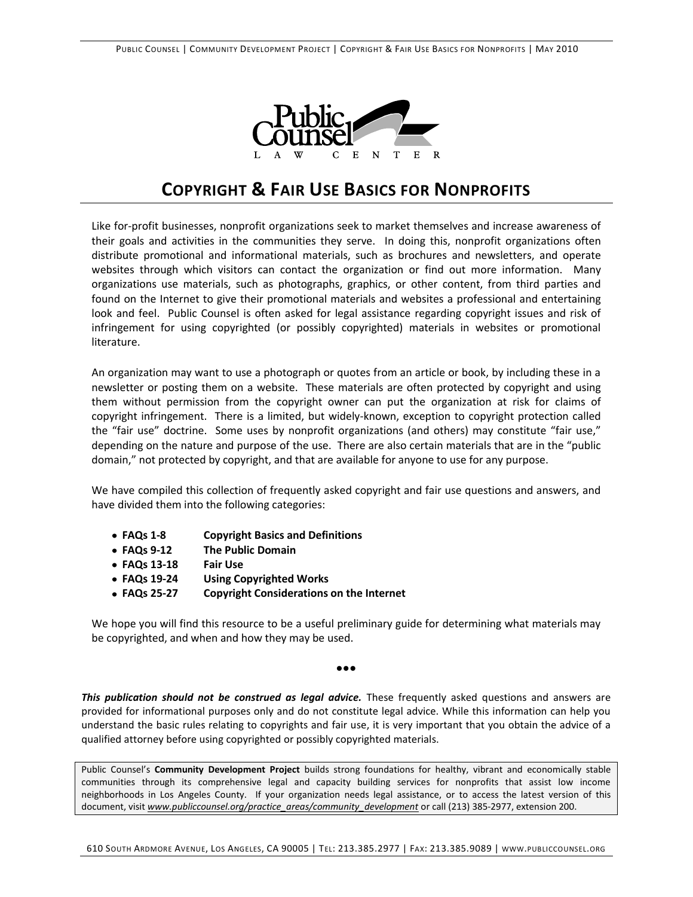

# **COPYRIGHT & FAIR USE BASICS FOR NONPROFITS**

Like for-profit businesses, nonprofit organizations seek to market themselves and increase awareness of their goals and activities in the communities they serve. In doing this, nonprofit organizations often distribute promotional and informational materials, such as brochures and newsletters, and operate websites through which visitors can contact the organization or find out more information. Many organizations use materials, such as photographs, graphics, or other content, from third parties and found on the Internet to give their promotional materials and websites a professional and entertaining look and feel. Public Counsel is often asked for legal assistance regarding copyright issues and risk of infringement for using copyrighted (or possibly copyrighted) materials in websites or promotional literature.

An organization may want to use a photograph or quotes from an article or book, by including these in a newsletter or posting them on a website. These materials are often protected by copyright and using them without permission from the copyright owner can put the organization at risk for claims of copyright infringement. There is a limited, but widely-known, exception to copyright protection called the "fair use" doctrine. Some uses by nonprofit organizations (and others) may constitute "fair use," depending on the nature and purpose of the use. There are also certain materials that are in the "public domain," not protected by copyright, and that are available for anyone to use for any purpose.

We have compiled this collection of frequently asked copyright and fair use questions and answers, and have divided them into the following categories:

- **FAQs 1-8 Copyright Basics and Definitions**
- **FAQs 9-12 The Public Domain**
- **FAQs 13-18 Fair Use**
- **FAQs 19-24 Using Copyrighted Works**
- **FAQs 25-27 Copyright Considerations on the Internet**

We hope you will find this resource to be a useful preliminary guide for determining what materials may be copyrighted, and when and how they may be used.

#### ●●●

This publication should not be construed as legal advice. These frequently asked questions and answers are provided for informational purposes only and do not constitute legal advice. While this information can help you understand the basic rules relating to copyrights and fair use, it is very important that you obtain the advice of a qualified attorney before using copyrighted or possibly copyrighted materials.

Public Counsel's **Community Development Project** builds strong foundations for healthy, vibrant and economically stable communities through its comprehensive legal and capacity building services for nonprofits that assist low income neighborhoods in Los Angeles County. If your organization needs legal assistance, or to access the latest version of this document, visit *www.publiccounsel.org/practice\_areas/community\_development* or call (213) 385-2977, extension 200.

610 SOUTH ARDMORE AVENUE, LOS ANGELES, CA 90005 | TEL: 213.385.2977 | FAX: 213.385.9089 | WWW.PUBLICCOUNSEL.ORG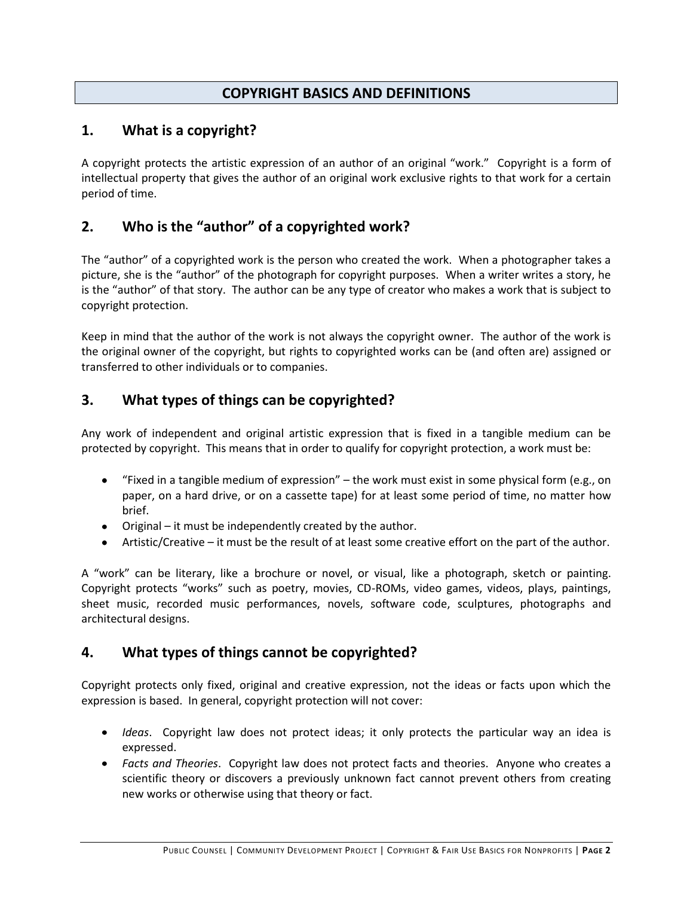## **COPYRIGHT BASICS AND DEFINITIONS**

### **1. What is a copyright?**

A copyright protects the artistic expression of an author of an original "work." Copyright is a form of intellectual property that gives the author of an original work exclusive rights to that work for a certain period of time.

## **2. Who is the "author" of a copyrighted work?**

The "author" of a copyrighted work is the person who created the work. When a photographer takes a picture, she is the "author" of the photograph for copyright purposes. When a writer writes a story, he is the "author" of that story. The author can be any type of creator who makes a work that is subject to copyright protection.

Keep in mind that the author of the work is not always the copyright owner. The author of the work is the original owner of the copyright, but rights to copyrighted works can be (and often are) assigned or transferred to other individuals or to companies.

## **3. What types of things can be copyrighted?**

Any work of independent and original artistic expression that is fixed in a tangible medium can be protected by copyright. This means that in order to qualify for copyright protection, a work must be:

- "Fixed in a tangible medium of expression" the work must exist in some physical form (e.g., on  $\bullet$ paper, on a hard drive, or on a cassette tape) for at least some period of time, no matter how brief.
- Original it must be independently created by the author.
- Artistic/Creative it must be the result of at least some creative effort on the part of the author.

A "work" can be literary, like a brochure or novel, or visual, like a photograph, sketch or painting. Copyright protects "works" such as poetry, movies, CD-ROMs, video games, videos, plays, paintings, sheet music, recorded music performances, novels, software code, sculptures, photographs and architectural designs.

### **4. What types of things cannot be copyrighted?**

Copyright protects only fixed, original and creative expression, not the ideas or facts upon which the expression is based. In general, copyright protection will not cover:

- *Ideas*. Copyright law does not protect ideas; it only protects the particular way an idea is expressed.
- *Facts and Theories*. Copyright law does not protect facts and theories. Anyone who creates a scientific theory or discovers a previously unknown fact cannot prevent others from creating new works or otherwise using that theory or fact.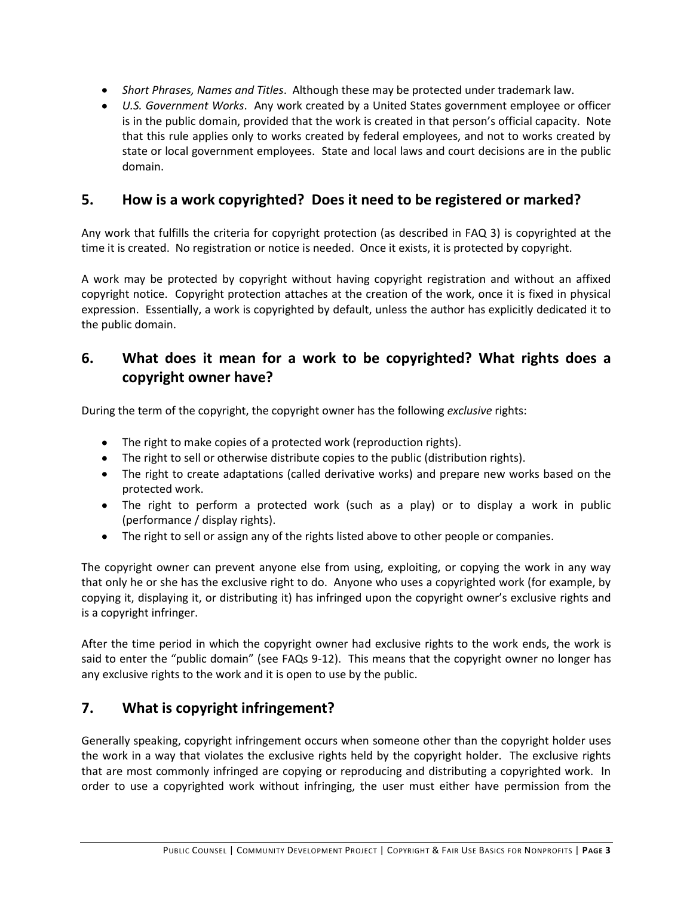- *Short Phrases, Names and Titles*. Although these may be protected under trademark law.
- *U.S. Government Works*. Any work created by a United States government employee or officer is in the public domain, provided that the work is created in that person's official capacity. Note that this rule applies only to works created by federal employees, and not to works created by state or local government employees. State and local laws and court decisions are in the public domain.

### **5. How is a work copyrighted? Does it need to be registered or marked?**

Any work that fulfills the criteria for copyright protection (as described in FAQ 3) is copyrighted at the time it is created. No registration or notice is needed. Once it exists, it is protected by copyright.

A work may be protected by copyright without having copyright registration and without an affixed copyright notice. Copyright protection attaches at the creation of the work, once it is fixed in physical expression. Essentially, a work is copyrighted by default, unless the author has explicitly dedicated it to the public domain.

## **6. What does it mean for a work to be copyrighted? What rights does a copyright owner have?**

During the term of the copyright, the copyright owner has the following *exclusive* rights:

- The right to make copies of a protected work (reproduction rights).
- The right to sell or otherwise distribute copies to the public (distribution rights).
- The right to create adaptations (called derivative works) and prepare new works based on the protected work.
- The right to perform a protected work (such as a play) or to display a work in public (performance / display rights).
- The right to sell or assign any of the rights listed above to other people or companies.

The copyright owner can prevent anyone else from using, exploiting, or copying the work in any way that only he or she has the exclusive right to do. Anyone who uses a copyrighted work (for example, by copying it, displaying it, or distributing it) has infringed upon the copyright owner's exclusive rights and is a copyright infringer.

After the time period in which the copyright owner had exclusive rights to the work ends, the work is said to enter the "public domain" (see FAQs 9-12).This means that the copyright owner no longer has any exclusive rights to the work and it is open to use by the public.

## **7. What is copyright infringement?**

Generally speaking, copyright infringement occurs when someone other than the copyright holder uses the work in a way that violates the exclusive rights held by the copyright holder. The exclusive rights that are most commonly infringed are copying or reproducing and distributing a copyrighted work. In order to use a copyrighted work without infringing, the user must either have permission from the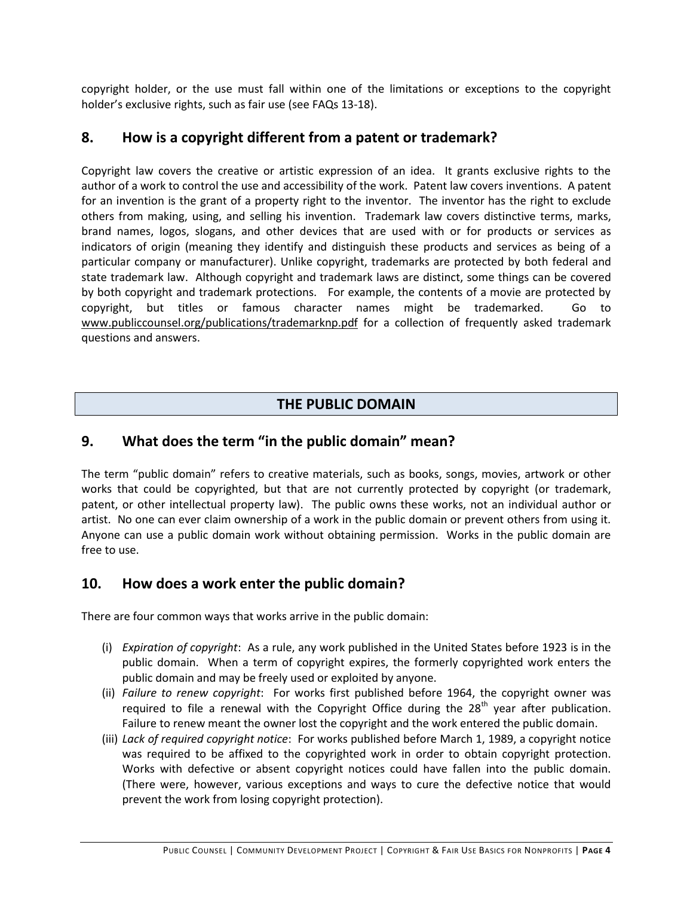copyright holder, or the use must fall within one of the limitations or exceptions to the copyright holder's exclusive rights, such as fair use (see FAQs 13-18).

### **8. How is a copyright different from a patent or trademark?**

Copyright law covers the creative or artistic expression of an idea. It grants exclusive rights to the author of a work to control the use and accessibility of the work. Patent law covers inventions. A patent for an invention is the grant of a property right to the inventor. The inventor has the right to exclude others from making, using, and selling his invention. Trademark law covers distinctive terms, marks, brand names, logos, slogans, and other devices that are used with or for products or services as indicators of origin (meaning they identify and distinguish these products and services as being of a particular company or manufacturer). Unlike copyright, trademarks are protected by both federal and state trademark law. Although copyright and trademark laws are distinct, some things can be covered by both copyright and trademark protections. For example, the contents of a movie are protected by copyright, but titles or famous character names might be trademarked. Go to www.publiccounsel.org/publications/trademarknp.pdf for a collection of frequently asked trademark questions and answers.

## **THE PUBLIC DOMAIN**

### **9. What does the term "in the public domain" mean?**

The term "public domain" refers to creative materials, such as books, songs, movies, artwork or other works that could be copyrighted, but that are not currently protected by copyright (or trademark, patent, or other intellectual property law). The public owns these works, not an individual author or artist. No one can ever claim ownership of a work in the public domain or prevent others from using it. Anyone can use a public domain work without obtaining permission. Works in the public domain are free to use.

### **10. How does a work enter the public domain?**

There are four common ways that works arrive in the public domain:

- (i) *Expiration of copyright*: As a rule, any work published in the United States before 1923 is in the public domain. When a term of copyright expires, the formerly copyrighted work enters the public domain and may be freely used or exploited by anyone.
- (ii) *Failure to renew copyright*: For works first published before 1964, the copyright owner was required to file a renewal with the Copyright Office during the  $28<sup>th</sup>$  year after publication. Failure to renew meant the owner lost the copyright and the work entered the public domain.
- (iii) *Lack of required copyright notice*: For works published before March 1, 1989, a copyright notice was required to be affixed to the copyrighted work in order to obtain copyright protection. Works with defective or absent copyright notices could have fallen into the public domain. (There were, however, various exceptions and ways to cure the defective notice that would prevent the work from losing copyright protection).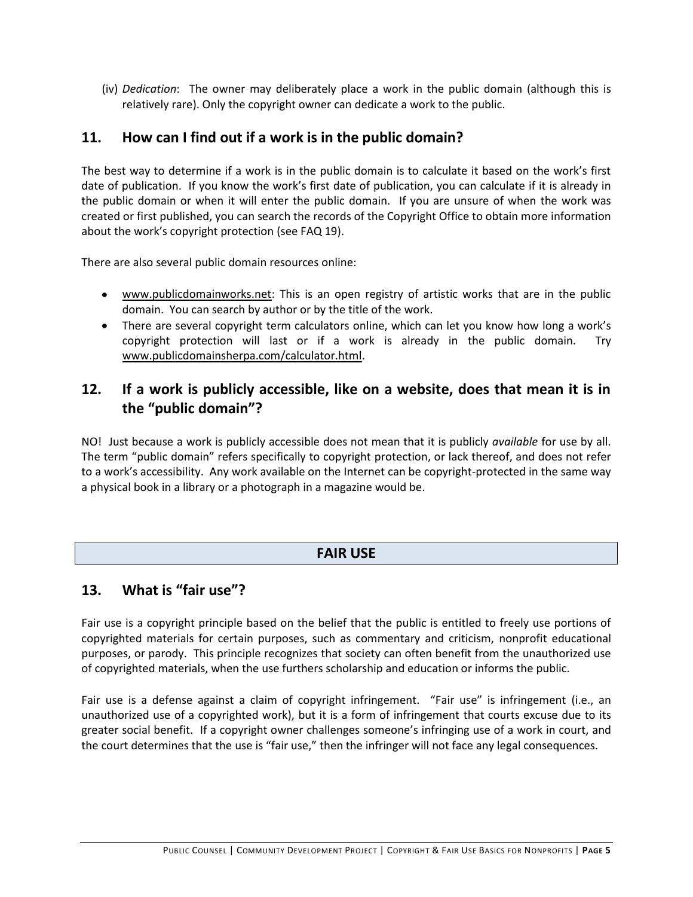(iv) *Dedication*: The owner may deliberately place a work in the public domain (although this is relatively rare). Only the copyright owner can dedicate a work to the public.

### **11. How can I find out if a work is in the public domain?**

The best way to determine if a work is in the public domain is to calculate it based on the work's first date of publication. If you know the work's first date of publication, you can calculate if it is already in the public domain or when it will enter the public domain. If you are unsure of when the work was created or first published, you can search the records of the Copyright Office to obtain more information about the work's copyright protection (see FAQ 19).

There are also several public domain resources online:

- www.publicdomainworks.net: This is an open registry of artistic works that are in the public domain. You can search by author or by the title of the work.
- There are several copyright term calculators online, which can let you know how long a work's copyright protection will last or if a work is already in the public domain. Try www.publicdomainsherpa.com/calculator.html.

## **12. If a work is publicly accessible, like on a website, does that mean it is in the "public domain"?**

NO! Just because a work is publicly accessible does not mean that it is publicly *available* for use by all. The term "public domain" refers specifically to copyright protection, or lack thereof, and does not refer to a work's accessibility. Any work available on the Internet can be copyright-protected in the same way a physical book in a library or a photograph in a magazine would be.

### **FAIR USE**

### **13. What is "fair use"?**

Fair use is a copyright principle based on the belief that the public is entitled to freely use portions of copyrighted materials for certain purposes, such as commentary and criticism, nonprofit educational purposes, or parody. This principle recognizes that society can often benefit from the unauthorized use of copyrighted materials, when the use furthers scholarship and education or informs the public.

Fair use is a defense against a claim of copyright infringement. "Fair use" is infringement (i.e., an unauthorized use of a copyrighted work), but it is a form of infringement that courts excuse due to its greater social benefit. If a copyright owner challenges someone's infringing use of a work in court, and the court determines that the use is "fair use," then the infringer will not face any legal consequences.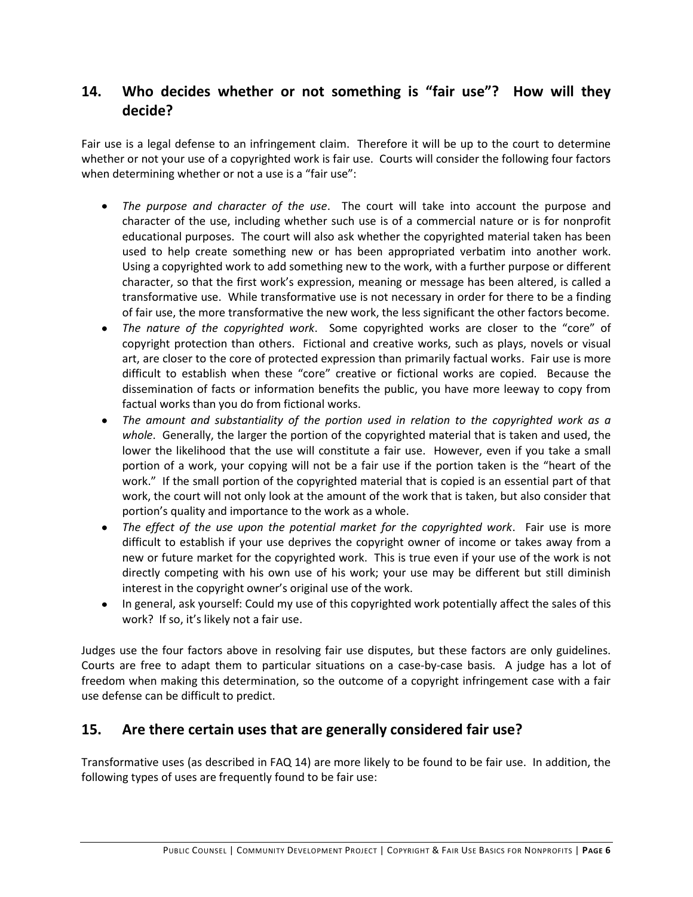## **14. Who decides whether or not something is "fair use"? How will they decide?**

Fair use is a legal defense to an infringement claim. Therefore it will be up to the court to determine whether or not your use of a copyrighted work is fair use. Courts will consider the following four factors when determining whether or not a use is a "fair use":

- *The purpose and character of the use*. The court will take into account the purpose and character of the use, including whether such use is of a commercial nature or is for nonprofit educational purposes. The court will also ask whether the copyrighted material taken has been used to help create something new or has been appropriated verbatim into another work. Using a copyrighted work to add something new to the work, with a further purpose or different character, so that the first work's expression, meaning or message has been altered, is called a transformative use. While transformative use is not necessary in order for there to be a finding of fair use, the more transformative the new work, the less significant the other factors become.
- *The nature of the copyrighted work*. Some copyrighted works are closer to the "core" of copyright protection than others. Fictional and creative works, such as plays, novels or visual art, are closer to the core of protected expression than primarily factual works. Fair use is more difficult to establish when these "core" creative or fictional works are copied. Because the dissemination of facts or information benefits the public, you have more leeway to copy from factual works than you do from fictional works.
- *The amount and substantiality of the portion used in relation to the copyrighted work as a*   $\bullet$ *whole*. Generally, the larger the portion of the copyrighted material that is taken and used, the lower the likelihood that the use will constitute a fair use. However, even if you take a small portion of a work, your copying will not be a fair use if the portion taken is the "heart of the work." If the small portion of the copyrighted material that is copied is an essential part of that work, the court will not only look at the amount of the work that is taken, but also consider that portion's quality and importance to the work as a whole.
- *The effect of the use upon the potential market for the copyrighted work*. Fair use is more difficult to establish if your use deprives the copyright owner of income or takes away from a new or future market for the copyrighted work. This is true even if your use of the work is not directly competing with his own use of his work; your use may be different but still diminish interest in the copyright owner's original use of the work.
- In general, ask yourself: Could my use of this copyrighted work potentially affect the sales of this work? If so, it's likely not a fair use.

Judges use the four factors above in resolving fair use disputes, but these factors are only guidelines. Courts are free to adapt them to particular situations on a case-by-case basis. A judge has a lot of freedom when making this determination, so the outcome of a copyright infringement case with a fair use defense can be difficult to predict.

### **15. Are there certain uses that are generally considered fair use?**

Transformative uses (as described in FAQ 14) are more likely to be found to be fair use. In addition, the following types of uses are frequently found to be fair use: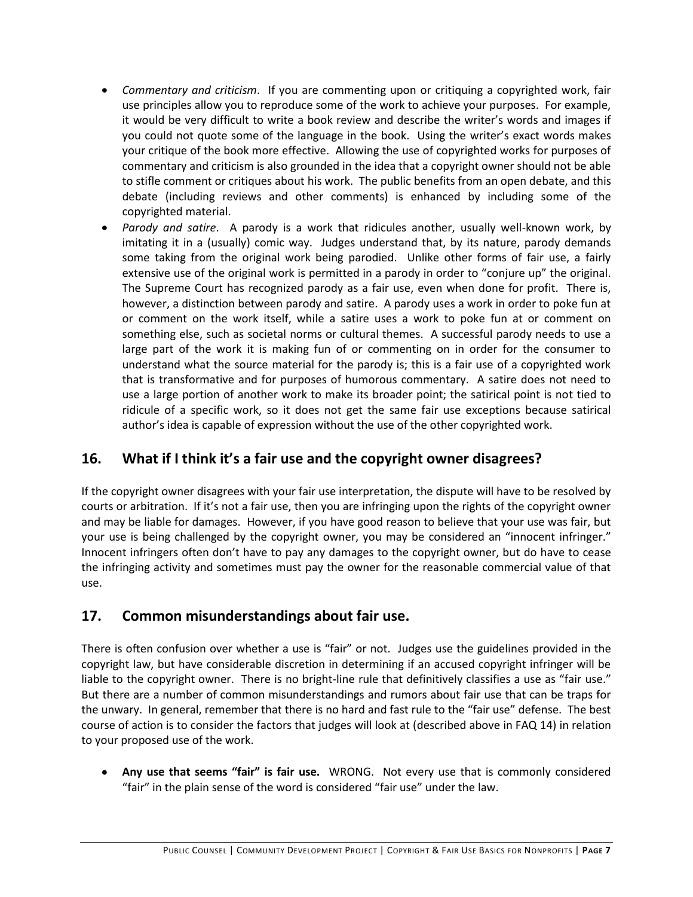- *Commentary and criticism*. If you are commenting upon or critiquing a copyrighted work, fair use principles allow you to reproduce some of the work to achieve your purposes. For example, it would be very difficult to write a book review and describe the writer's words and images if you could not quote some of the language in the book. Using the writer's exact words makes your critique of the book more effective. Allowing the use of copyrighted works for purposes of commentary and criticism is also grounded in the idea that a copyright owner should not be able to stifle comment or critiques about his work. The public benefits from an open debate, and this debate (including reviews and other comments) is enhanced by including some of the copyrighted material.
- $\bullet$ *Parody and satire*. A parody is a work that ridicules another, usually well-known work, by imitating it in a (usually) comic way. Judges understand that, by its nature, parody demands some taking from the original work being parodied. Unlike other forms of fair use, a fairly extensive use of the original work is permitted in a parody in order to "conjure up" the original. The Supreme Court has recognized parody as a fair use, even when done for profit. There is, however, a distinction between parody and satire. A parody uses a work in order to poke fun at or comment on the work itself, while a satire uses a work to poke fun at or comment on something else, such as societal norms or cultural themes. A successful parody needs to use a large part of the work it is making fun of or commenting on in order for the consumer to understand what the source material for the parody is; this is a fair use of a copyrighted work that is transformative and for purposes of humorous commentary. A satire does not need to use a large portion of another work to make its broader point; the satirical point is not tied to ridicule of a specific work, so it does not get the same fair use exceptions because satirical author's idea is capable of expression without the use of the other copyrighted work.

## **16. What if I think it's a fair use and the copyright owner disagrees?**

If the copyright owner disagrees with your fair use interpretation, the dispute will have to be resolved by courts or arbitration. If it's not a fair use, then you are infringing upon the rights of the copyright owner and may be liable for damages. However, if you have good reason to believe that your use was fair, but your use is being challenged by the copyright owner, you may be considered an "innocent infringer." Innocent infringers often don't have to pay any damages to the copyright owner, but do have to cease the infringing activity and sometimes must pay the owner for the reasonable commercial value of that use.

## **17. Common misunderstandings about fair use.**

There is often confusion over whether a use is "fair" or not. Judges use the guidelines provided in the copyright law, but have considerable discretion in determining if an accused copyright infringer will be liable to the copyright owner. There is no bright-line rule that definitively classifies a use as "fair use." But there are a number of common misunderstandings and rumors about fair use that can be traps for the unwary. In general, remember that there is no hard and fast rule to the "fair use" defense. The best course of action is to consider the factors that judges will look at (described above in FAQ 14) in relation to your proposed use of the work.

**Any use that seems "fair" is fair use.** WRONG. Not every use that is commonly considered  $\bullet$ "fair" in the plain sense of the word is considered "fair use" under the law.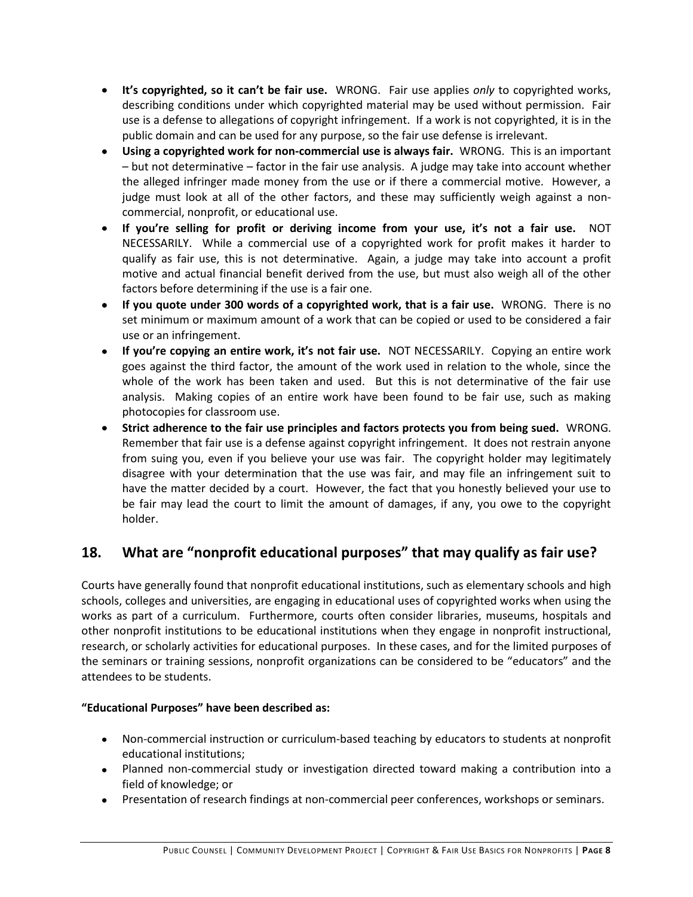- **It's copyrighted, so it can't be fair use.** WRONG. Fair use applies *only* to copyrighted works, describing conditions under which copyrighted material may be used without permission. Fair use is a defense to allegations of copyright infringement. If a work is not copyrighted, it is in the public domain and can be used for any purpose, so the fair use defense is irrelevant.
- **Using a copyrighted work for non-commercial use is always fair.** WRONG. This is an important – but not determinative – factor in the fair use analysis. A judge may take into account whether the alleged infringer made money from the use or if there a commercial motive. However, a judge must look at all of the other factors, and these may sufficiently weigh against a noncommercial, nonprofit, or educational use.
- **If you're selling for profit or deriving income from your use, it's not a fair use.** NOT NECESSARILY. While a commercial use of a copyrighted work for profit makes it harder to qualify as fair use, this is not determinative. Again, a judge may take into account a profit motive and actual financial benefit derived from the use, but must also weigh all of the other factors before determining if the use is a fair one.
- **If you quote under 300 words of a copyrighted work, that is a fair use.** WRONG. There is no set minimum or maximum amount of a work that can be copied or used to be considered a fair use or an infringement.
- **If you're copying an entire work, it's not fair use.** NOT NECESSARILY. Copying an entire work goes against the third factor, the amount of the work used in relation to the whole, since the whole of the work has been taken and used. But this is not determinative of the fair use analysis. Making copies of an entire work have been found to be fair use, such as making photocopies for classroom use.
- **Strict adherence to the fair use principles and factors protects you from being sued.** WRONG. Remember that fair use is a defense against copyright infringement. It does not restrain anyone from suing you, even if you believe your use was fair. The copyright holder may legitimately disagree with your determination that the use was fair, and may file an infringement suit to have the matter decided by a court. However, the fact that you honestly believed your use to be fair may lead the court to limit the amount of damages, if any, you owe to the copyright holder.

## **18. What are "nonprofit educational purposes" that may qualify as fair use?**

Courts have generally found that nonprofit educational institutions, such as elementary schools and high schools, colleges and universities, are engaging in educational uses of copyrighted works when using the works as part of a curriculum. Furthermore, courts often consider libraries, museums, hospitals and other nonprofit institutions to be educational institutions when they engage in nonprofit instructional, research, or scholarly activities for educational purposes. In these cases, and for the limited purposes of the seminars or training sessions, nonprofit organizations can be considered to be "educators" and the attendees to be students.

#### **"Educational Purposes" have been described as:**

- Non-commercial instruction or curriculum-based teaching by educators to students at nonprofit educational institutions;
- Planned non-commercial study or investigation directed toward making a contribution into a field of knowledge; or
- Presentation of research findings at non-commercial peer conferences, workshops or seminars.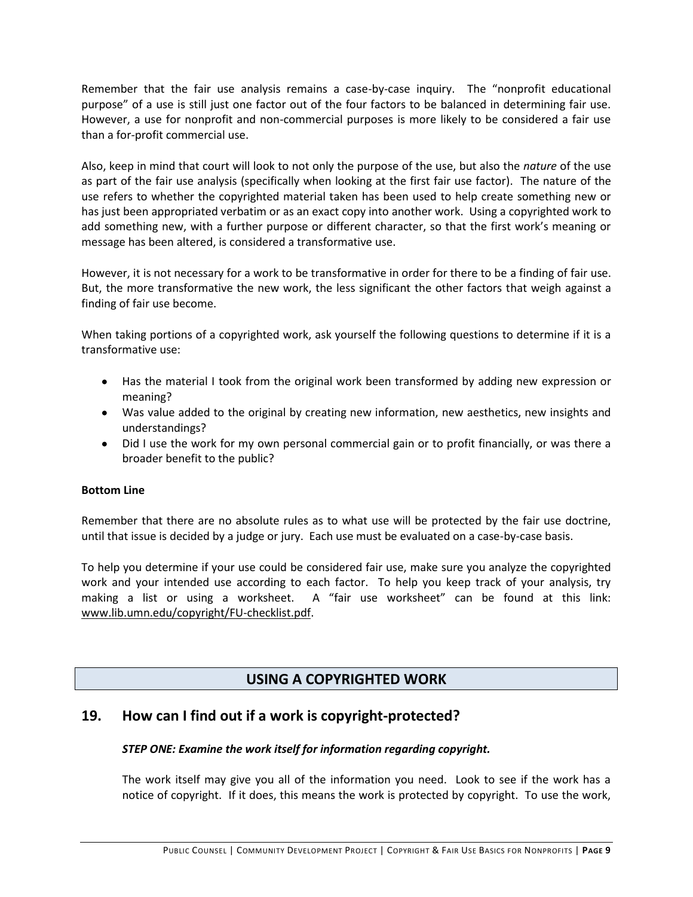Remember that the fair use analysis remains a case-by-case inquiry. The "nonprofit educational purpose" of a use is still just one factor out of the four factors to be balanced in determining fair use. However, a use for nonprofit and non-commercial purposes is more likely to be considered a fair use than a for-profit commercial use.

Also, keep in mind that court will look to not only the purpose of the use, but also the *nature* of the use as part of the fair use analysis (specifically when looking at the first fair use factor). The nature of the use refers to whether the copyrighted material taken has been used to help create something new or has just been appropriated verbatim or as an exact copy into another work. Using a copyrighted work to add something new, with a further purpose or different character, so that the first work's meaning or message has been altered, is considered a transformative use.

However, it is not necessary for a work to be transformative in order for there to be a finding of fair use. But, the more transformative the new work, the less significant the other factors that weigh against a finding of fair use become.

When taking portions of a copyrighted work, ask yourself the following questions to determine if it is a transformative use:

- Has the material I took from the original work been transformed by adding new expression or meaning?
- Was value added to the original by creating new information, new aesthetics, new insights and understandings?
- Did I use the work for my own personal commercial gain or to profit financially, or was there a broader benefit to the public?

#### **Bottom Line**

Remember that there are no absolute rules as to what use will be protected by the fair use doctrine, until that issue is decided by a judge or jury. Each use must be evaluated on a case-by-case basis.

To help you determine if your use could be considered fair use, make sure you analyze the copyrighted work and your intended use according to each factor. To help you keep track of your analysis, try making a list or using a worksheet. A "fair use worksheet" can be found at this link: www.lib.umn.edu/copyright/FU-checklist.pdf.

### **USING A COPYRIGHTED WORK**

### **19. How can I find out if a work is copyright-protected?**

#### *STEP ONE: Examine the work itself for information regarding copyright.*

The work itself may give you all of the information you need. Look to see if the work has a notice of copyright. If it does, this means the work is protected by copyright. To use the work,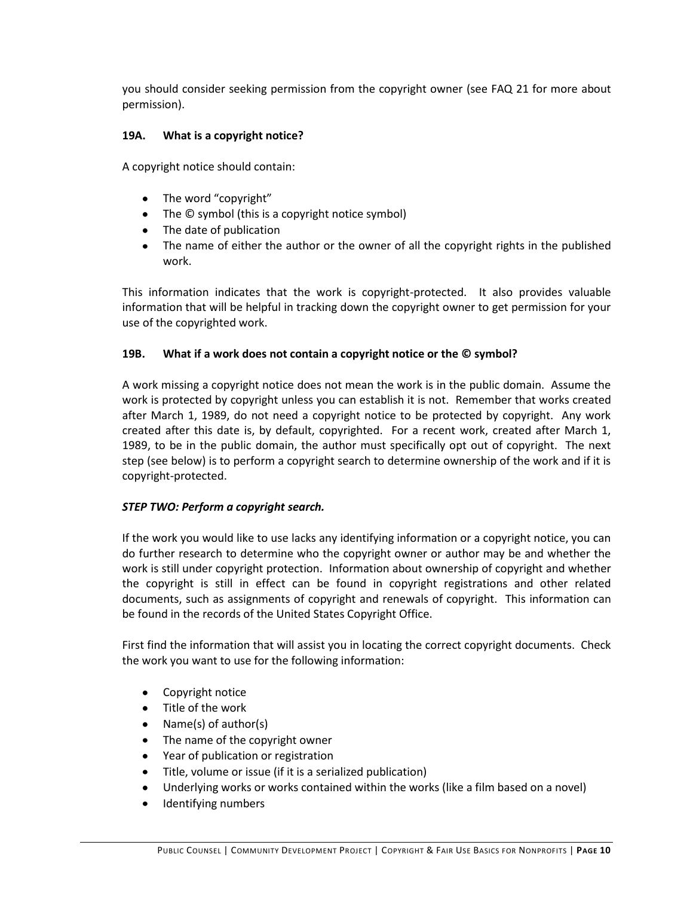you should consider seeking permission from the copyright owner (see FAQ 21 for more about permission).

#### **19A. What is a copyright notice?**

A copyright notice should contain:

- The word "copyright"
- The © symbol (this is a copyright notice symbol)
- The date of publication
- The name of either the author or the owner of all the copyright rights in the published work.

This information indicates that the work is copyright-protected. It also provides valuable information that will be helpful in tracking down the copyright owner to get permission for your use of the copyrighted work.

#### **19B. What if a work does not contain a copyright notice or the © symbol?**

A work missing a copyright notice does not mean the work is in the public domain. Assume the work is protected by copyright unless you can establish it is not. Remember that works created after March 1, 1989, do not need a copyright notice to be protected by copyright. Any work created after this date is, by default, copyrighted. For a recent work, created after March 1, 1989, to be in the public domain, the author must specifically opt out of copyright. The next step (see below) is to perform a copyright search to determine ownership of the work and if it is copyright-protected.

#### *STEP TWO: Perform a copyright search.*

If the work you would like to use lacks any identifying information or a copyright notice, you can do further research to determine who the copyright owner or author may be and whether the work is still under copyright protection. Information about ownership of copyright and whether the copyright is still in effect can be found in copyright registrations and other related documents, such as assignments of copyright and renewals of copyright. This information can be found in the records of the United States Copyright Office.

First find the information that will assist you in locating the correct copyright documents. Check the work you want to use for the following information:

- Copyright notice  $\bullet$
- Title of the work
- Name(s) of author(s)  $\bullet$
- The name of the copyright owner  $\bullet$
- Year of publication or registration  $\bullet$
- $\bullet$ Title, volume or issue (if it is a serialized publication)
- Underlying works or works contained within the works (like a film based on a novel)  $\bullet$
- Identifying numbers $\bullet$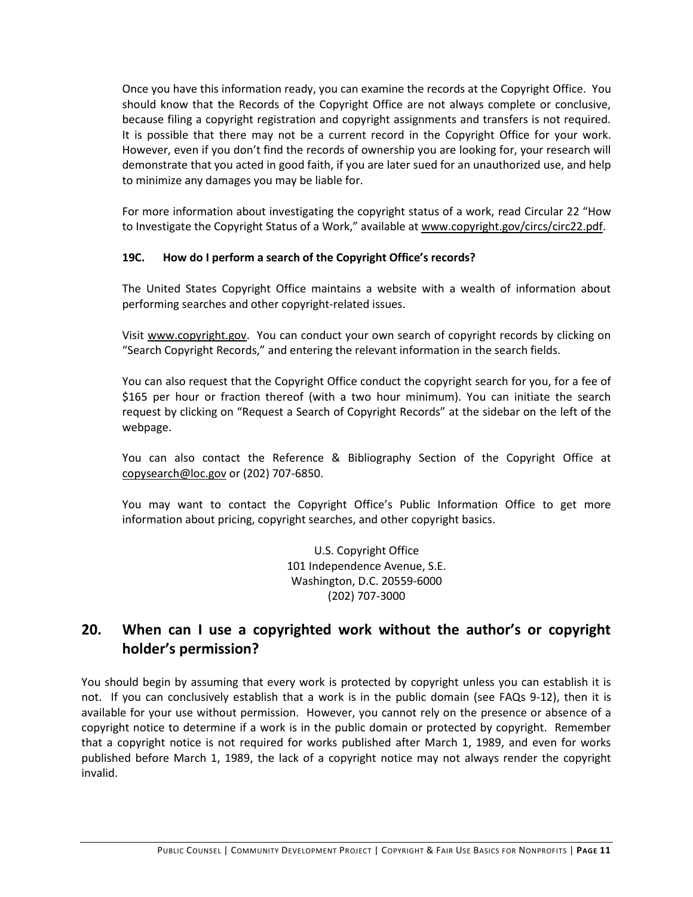Once you have this information ready, you can examine the records at the Copyright Office. You should know that the Records of the Copyright Office are not always complete or conclusive, because filing a copyright registration and copyright assignments and transfers is not required. It is possible that there may not be a current record in the Copyright Office for your work. However, even if you don't find the records of ownership you are looking for, your research will demonstrate that you acted in good faith, if you are later sued for an unauthorized use, and help to minimize any damages you may be liable for.

For more information about investigating the copyright status of a work, read Circular 22 "How to Investigate the Copyright Status of a Work," available at www.copyright.gov/circs/circ22.pdf.

#### **19C. How do I perform a search of the Copyright Office's records?**

The United States Copyright Office maintains a website with a wealth of information about performing searches and other copyright-related issues.

Visit www.copyright.gov. You can conduct your own search of copyright records by clicking on "Search Copyright Records," and entering the relevant information in the search fields.

You can also request that the Copyright Office conduct the copyright search for you, for a fee of \$165 per hour or fraction thereof (with a two hour minimum). You can initiate the search request by clicking on "Request a Search of Copyright Records" at the sidebar on the left of the webpage.

You can also contact the Reference & Bibliography Section of the Copyright Office at copysearch@loc.gov or (202) 707-6850.

You may want to contact the Copyright Office's Public Information Office to get more information about pricing, copyright searches, and other copyright basics.

> U.S. Copyright Office 101 Independence Avenue, S.E. Washington, D.C. 20559-6000 (202) 707-3000

## **20. When can I use a copyrighted work without the author's or copyright holder's permission?**

You should begin by assuming that every work is protected by copyright unless you can establish it is not. If you can conclusively establish that a work is in the public domain (see FAQs 9-12), then it is available for your use without permission. However, you cannot rely on the presence or absence of a copyright notice to determine if a work is in the public domain or protected by copyright. Remember that a copyright notice is not required for works published after March 1, 1989, and even for works published before March 1, 1989, the lack of a copyright notice may not always render the copyright invalid.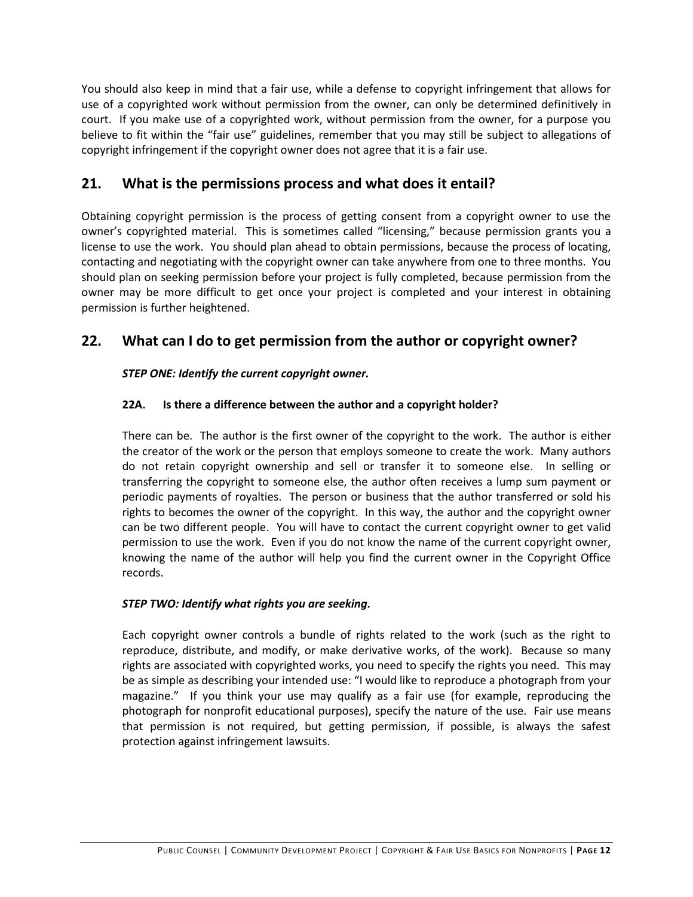You should also keep in mind that a fair use, while a defense to copyright infringement that allows for use of a copyrighted work without permission from the owner, can only be determined definitively in court. If you make use of a copyrighted work, without permission from the owner, for a purpose you believe to fit within the "fair use" guidelines, remember that you may still be subject to allegations of copyright infringement if the copyright owner does not agree that it is a fair use.

### **21. What is the permissions process and what does it entail?**

Obtaining copyright permission is the process of getting consent from a copyright owner to use the owner's copyrighted material. This is sometimes called "licensing," because permission grants you a license to use the work. You should plan ahead to obtain permissions, because the process of locating, contacting and negotiating with the copyright owner can take anywhere from one to three months. You should plan on seeking permission before your project is fully completed, because permission from the owner may be more difficult to get once your project is completed and your interest in obtaining permission is further heightened.

## **22. What can I do to get permission from the author or copyright owner?**

#### *STEP ONE: Identify the current copyright owner.*

#### **22A. Is there a difference between the author and a copyright holder?**

There can be. The author is the first owner of the copyright to the work. The author is either the creator of the work or the person that employs someone to create the work. Many authors do not retain copyright ownership and sell or transfer it to someone else. In selling or transferring the copyright to someone else, the author often receives a lump sum payment or periodic payments of royalties. The person or business that the author transferred or sold his rights to becomes the owner of the copyright. In this way, the author and the copyright owner can be two different people. You will have to contact the current copyright owner to get valid permission to use the work. Even if you do not know the name of the current copyright owner, knowing the name of the author will help you find the current owner in the Copyright Office records.

#### *STEP TWO: Identify what rights you are seeking.*

Each copyright owner controls a bundle of rights related to the work (such as the right to reproduce, distribute, and modify, or make derivative works, of the work). Because so many rights are associated with copyrighted works, you need to specify the rights you need. This may be as simple as describing your intended use: "I would like to reproduce a photograph from your magazine." If you think your use may qualify as a fair use (for example, reproducing the photograph for nonprofit educational purposes), specify the nature of the use. Fair use means that permission is not required, but getting permission, if possible, is always the safest protection against infringement lawsuits.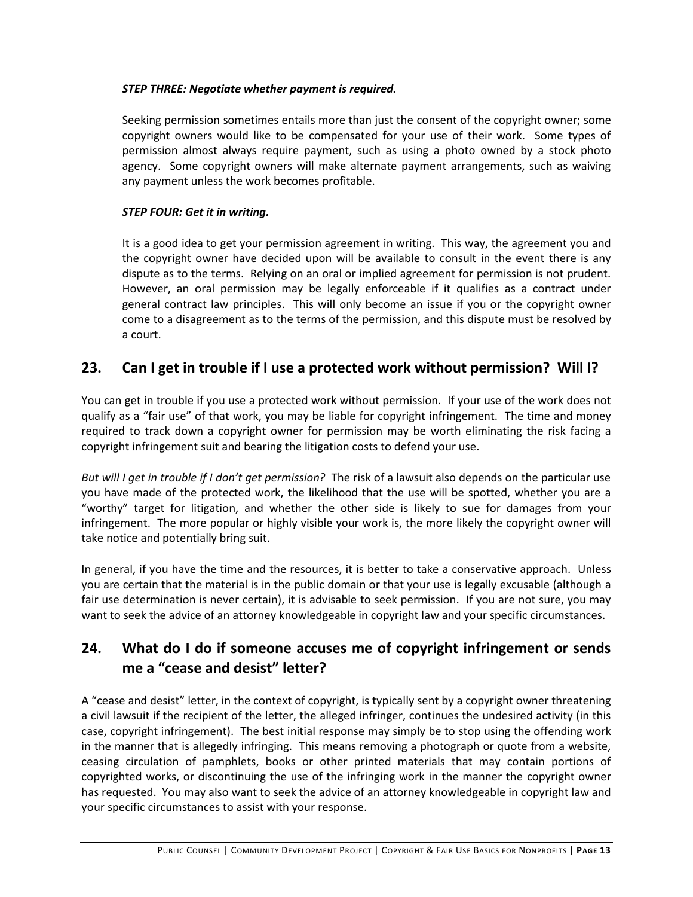#### *STEP THREE: Negotiate whether payment is required.*

Seeking permission sometimes entails more than just the consent of the copyright owner; some copyright owners would like to be compensated for your use of their work. Some types of permission almost always require payment, such as using a photo owned by a stock photo agency. Some copyright owners will make alternate payment arrangements, such as waiving any payment unless the work becomes profitable.

#### *STEP FOUR: Get it in writing.*

It is a good idea to get your permission agreement in writing. This way, the agreement you and the copyright owner have decided upon will be available to consult in the event there is any dispute as to the terms. Relying on an oral or implied agreement for permission is not prudent. However, an oral permission may be legally enforceable if it qualifies as a contract under general contract law principles. This will only become an issue if you or the copyright owner come to a disagreement as to the terms of the permission, and this dispute must be resolved by a court.

### **23. Can I get in trouble if I use a protected work without permission? Will I?**

You can get in trouble if you use a protected work without permission. If your use of the work does not qualify as a "fair use" of that work, you may be liable for copyright infringement. The time and money required to track down a copyright owner for permission may be worth eliminating the risk facing a copyright infringement suit and bearing the litigation costs to defend your use.

*But will I get in trouble if I don't get permission?* The risk of a lawsuit also depends on the particular use you have made of the protected work, the likelihood that the use will be spotted, whether you are a "worthy" target for litigation, and whether the other side is likely to sue for damages from your infringement. The more popular or highly visible your work is, the more likely the copyright owner will take notice and potentially bring suit.

In general, if you have the time and the resources, it is better to take a conservative approach. Unless you are certain that the material is in the public domain or that your use is legally excusable (although a fair use determination is never certain), it is advisable to seek permission. If you are not sure, you may want to seek the advice of an attorney knowledgeable in copyright law and your specific circumstances.

## **24. What do I do if someone accuses me of copyright infringement or sends me a "cease and desist" letter?**

A "cease and desist" letter, in the context of copyright, is typically sent by a copyright owner threatening a civil lawsuit if the recipient of the letter, the alleged infringer, continues the undesired activity (in this case, copyright infringement). The best initial response may simply be to stop using the offending work in the manner that is allegedly infringing. This means removing a photograph or quote from a website, ceasing circulation of pamphlets, books or other printed materials that may contain portions of copyrighted works, or discontinuing the use of the infringing work in the manner the copyright owner has requested. You may also want to seek the advice of an attorney knowledgeable in copyright law and your specific circumstances to assist with your response.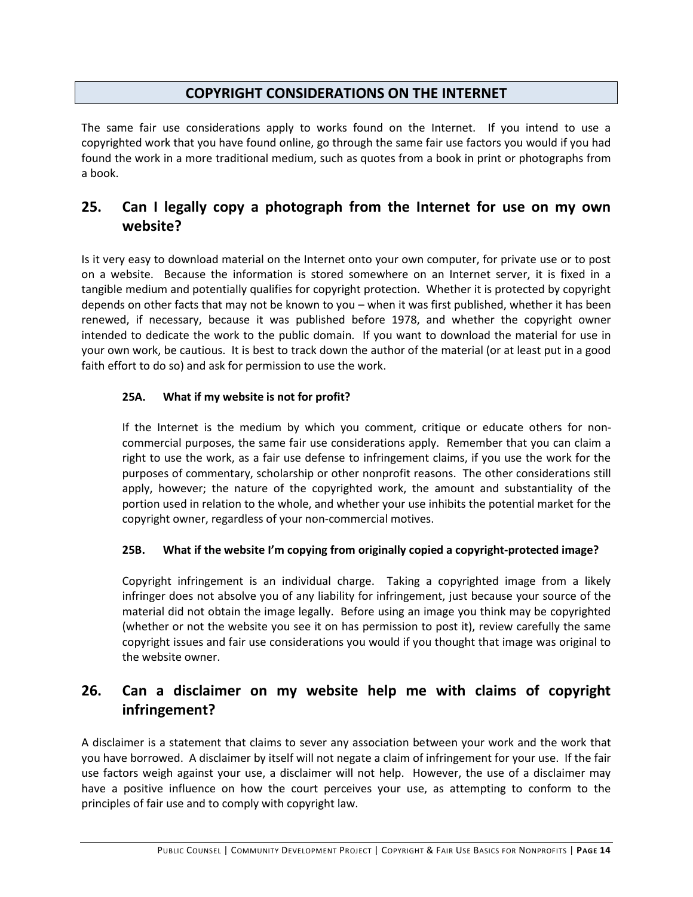### **COPYRIGHT CONSIDERATIONS ON THE INTERNET**

The same fair use considerations apply to works found on the Internet. If you intend to use a copyrighted work that you have found online, go through the same fair use factors you would if you had found the work in a more traditional medium, such as quotes from a book in print or photographs from a book.

## **25. Can I legally copy a photograph from the Internet for use on my own website?**

Is it very easy to download material on the Internet onto your own computer, for private use or to post on a website. Because the information is stored somewhere on an Internet server, it is fixed in a tangible medium and potentially qualifies for copyright protection. Whether it is protected by copyright depends on other facts that may not be known to you – when it was first published, whether it has been renewed, if necessary, because it was published before 1978, and whether the copyright owner intended to dedicate the work to the public domain. If you want to download the material for use in your own work, be cautious. It is best to track down the author of the material (or at least put in a good faith effort to do so) and ask for permission to use the work.

#### **25A. What if my website is not for profit?**

If the Internet is the medium by which you comment, critique or educate others for noncommercial purposes, the same fair use considerations apply. Remember that you can claim a right to use the work, as a fair use defense to infringement claims, if you use the work for the purposes of commentary, scholarship or other nonprofit reasons. The other considerations still apply, however; the nature of the copyrighted work, the amount and substantiality of the portion used in relation to the whole, and whether your use inhibits the potential market for the copyright owner, regardless of your non-commercial motives.

#### **25B. What if the website I'm copying from originally copied a copyright-protected image?**

Copyright infringement is an individual charge. Taking a copyrighted image from a likely infringer does not absolve you of any liability for infringement, just because your source of the material did not obtain the image legally. Before using an image you think may be copyrighted (whether or not the website you see it on has permission to post it), review carefully the same copyright issues and fair use considerations you would if you thought that image was original to the website owner.

## **26. Can a disclaimer on my website help me with claims of copyright infringement?**

A disclaimer is a statement that claims to sever any association between your work and the work that you have borrowed. A disclaimer by itself will not negate a claim of infringement for your use. If the fair use factors weigh against your use, a disclaimer will not help. However, the use of a disclaimer may have a positive influence on how the court perceives your use, as attempting to conform to the principles of fair use and to comply with copyright law.